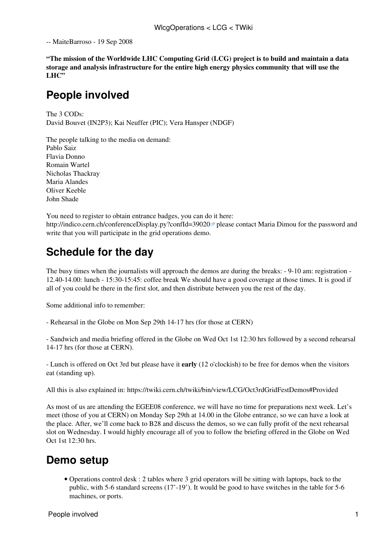-- [MaiteBarroso](https://twiki.cern.ch/twiki/bin/view/Main/MaiteBarroso) - 19 Sep 2008

**"The mission of the Worldwide LHC Computing Grid (LCG) project is to build and maintain a data storage and analysis infrastructure for the entire high energy physics community that will use the** LHC"

### **People involved**

The 3 CODs: David Bouvet ([IN2P3](https://twiki.cern.ch/twiki/bin/view/LCG/IN2P3)); Kai Neuffer (PIC); Vera Hansper (NDGF)

The people talking to the media on demand: Pablo Saiz Flavia Donno Romain Wartel Nicholas Thackray Maria Alandes Oliver Keeble John Shade

You need to register to obtain entrance badges, you can do it here: <http://indico.cern.ch/conferenceDisplay.py?confId=39020><sup> $\alpha$ </sup> please contact Maria Dimou for the password and write that you will participate in the grid operations demo.

## **Schedule for the day**

The busy times when the journalists will approach the demos are during the breaks: - 9-10 am: registration - 12.40-14.00: lunch - 15:30-15:45: coffee break We should have a good coverage at those times. It is good if all of you could be there in the first slot, and then distribute between you the rest of the day.

Some additional info to remember:

- Rehearsal in the Globe on Mon Sep 29th 14-17 hrs (for those at CERN)

- Sandwich and media briefing offered in the Globe on Wed Oct 1st 12:30 hrs followed by a second rehearsal 14-17 hrs (for those at CERN).

- Lunch is offered on Oct 3rd but please have it **early** (12 o'clockish) to be free for demos when the visitors eat (standing up).

All this is also explained in: <https://twiki.cern.ch/twiki/bin/view/LCG/Oct3rdGridFestDemos#Provided>

As most of us are attending the EGEE08 conference, we will have no time for preparations next week. Let's meet (those of you at CERN) on Monday Sep 29th at 14.00 in the Globe entrance, so we can have a look at the place. After, we'll come back to B28 and discuss the demos, so we can fully profit of the next rehearsal slot on Wednesday. I would highly encourage all of you to follow the briefing offered in the Globe on Wed Oct 1st 12:30 hrs.

### **Demo setup**

Operations control desk : 2 tables where 3 grid operators will be sitting with laptops, back to the • public, with 5-6 standard screens (17'-19'). It would be good to have switches in the table for 5-6 machines, or ports.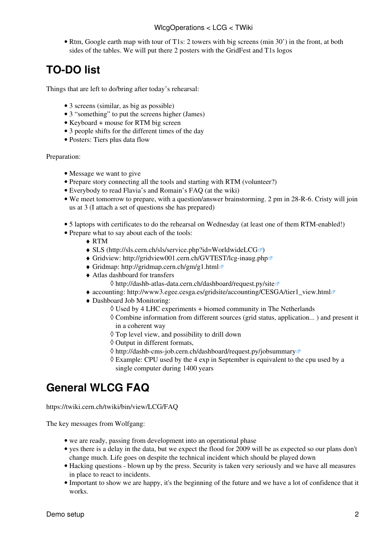• Rtm, Google earth map with tour of T1s: 2 towers with big screens (min 30') in the front, at both sides of the tables. We will put there 2 posters with the [GridFest](https://twiki.cern.ch/twiki/bin/edit/LCG/GridFest?topicparent=LCG.WlcgOperations;nowysiwyg=1) and T1s logos

# **TO-DO list**

Things that are left to do/bring after today's rehearsal:

- 3 screens (similar, as big as possible)
- 3 "something" to put the screens higher (James)
- Keyboard + mouse for [RTM](https://twiki.cern.ch/twiki/bin/view/LCG/RTM) big screen
- 3 people shifts for the different times of the day
- Posters: Tiers plus data flow

Preparation:

- Message we want to give
- Prepare story connecting all the tools and starting with [RTM](https://twiki.cern.ch/twiki/bin/view/LCG/RTM) (volunteer?)
- Everybody to read Flavia's and Romain's [FAQ](https://twiki.cern.ch/twiki/bin/view/LCG/FAQ) (at the wiki)
- We meet tomorrow to prepare, with a question/answer brainstorming. 2 pm in 28-R-6. Cristy will join us at 3 (I attach a set of questions she has prepared)
- 5 laptops with certificates to do the rehearsal on Wednesday (at least one of them [RTM](https://twiki.cern.ch/twiki/bin/view/LCG/RTM)-enabled!)
- Prepare what to say about each of the tools:
	- ♦ [RTM](https://twiki.cern.ch/twiki/bin/view/LCG/RTM)
	- $\triangleleft$  SLS [\(http://sls.cern.ch/sls/service.php?id=WorldwideLCG](http://sls.cern.ch/sls/service.php?id=WorldwideLCG) $\blacksquare$ )
	- ◆ Gridview:<http://gridview001.cern.ch/GVTEST/lcg-inaug.php><sup>™</sup>
	- ♦ Gridmap: <http://gridmap.cern.ch/gm/g1.html>
	- Atlas dashboard for transfers ♦
		- ◊ <http://dashb-atlas-data.cern.ch/dashboard/request.py/site>
	- ♦ accounting: [http://www3.egee.cesga.es/gridsite/accounting/CESGA/tier1\\_view.html](http://www3.egee.cesga.es/gridsite/accounting/CESGA/tier1_view.html)
	- Dashboard Job Monitoring: ♦
		- $\Diamond$  Used by 4 LHC experiments + biomed community in The Netherlands
		- Combine information from different sources (grid status, application... ) and present it ◊ in a coherent way
		- ◊ Top level view, and possibility to drill down
		- ◊ Output in different formats,
		- ◊ <http://dashb-cms-job.cern.ch/dashboard/request.py/jobsummary>
		- Example: CPU used by the 4 exp in September is equivalent to the cpu used by a ◊ single computer during 1400 years

## **General WLCG [FAQ](https://twiki.cern.ch/twiki/bin/view/LCG/FAQ)**

<https://twiki.cern.ch/twiki/bin/view/LCG/FAQ>

The key messages from Wolfgang:

- we are ready, passing from development into an operational phase
- yes there is a delay in the data, but we expect the flood for 2009 will be as expected so our plans don't change much. Life goes on despite the technical incident which should be played down
- Hacking questions blown up by the press. Security is taken very seriously and we have all measures in place to react to incidents.
- Important to show we are happy, it's the beginning of the future and we have a lot of confidence that it works.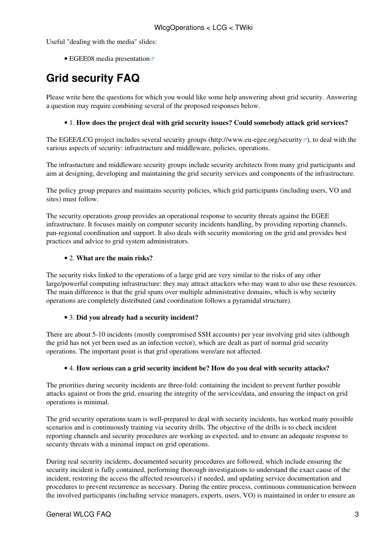Useful "dealing with the media" slides:

• [EGEE08 media presentation](http://indico.cern.ch/materialDisplay.py?contribId=208&sessionId=120&materialId=slides&confId=32220)

# **Grid security [FAQ](https://twiki.cern.ch/twiki/bin/view/LCG/FAQ)**

Please write here the questions for which you would like some help answering about grid security. Answering a question may require combining several of the proposed responses below.

#### • 1. **How does the project deal with grid security issues? Could somebody attack grid services?**

The EGEE/LCG project includes several security groups [\(http://www.eu-egee.org/security](http://www.eu-egee.org/security) $\mathscr{P}$ ), to deal with the various aspects of security: infrastructure and middleware, policies, operations.

The infrastucture and middleware security groups include security architects from many grid participants and aim at designing, developing and maintaining the grid security services and components of the infrastructure.

The policy group prepares and maintains security policies, which grid participants (including users, VO and sites) must follow.

The security operations group provides an operational response to security threats against the EGEE infrastructure. It focuses mainly on computer security incidents handling, by providing reporting channels, pan-regional coordination and support. It also deals with security monitoring on the grid and provides best practices and advice to grid system administrators.

#### • 2. **What are the main risks?**

The security risks linked to the operations of a large grid are very similar to the risks of any other large/powerful computing infrastructure: they may attract attackers who may want to also use these resources. The main difference is that the grid spans over multiple administrative domains, which is why security operations are completely distributed (and coordination follows a pyramidal structure).

#### • 3. **Did you already had a security incident?**

There are about 5-10 incidents (mostly compromised SSH accounts) per year involving grid sites (although the grid has not yet been used as an infection vector), which are dealt as part of normal grid security operations. The important point is that grid operations were/are not affected.

#### • 4. **How serious can a grid security incident be? How do you deal with security attacks?**

The priorities during security incidents are three-fold: containing the incident to prevent further possible attacks against or from the grid, ensuring the integrity of the services/data, and ensuring the impact on grid operations is minimal.

The grid security operations team is well-prepared to deal with security incidents, has worked many possible scenarios and is continuously training via security drills. The objective of the drills is to check incident reporting channels and security procedures are working as expected, and to ensure an adequate response to security threats with a minimal impact on grid operations.

During real security incidents, documented security procedures are followed, which include ensuring the security incident is fully contained, performing thorough investigations to understand the exact cause of the incident, restoring the access the affected resource(s) if needed, and updating service documentation and procedures to prevent recurrence as necessary. During the entire process, continuous communication between the involved participants (including service managers, experts, users, VO) is maintained in order to ensure an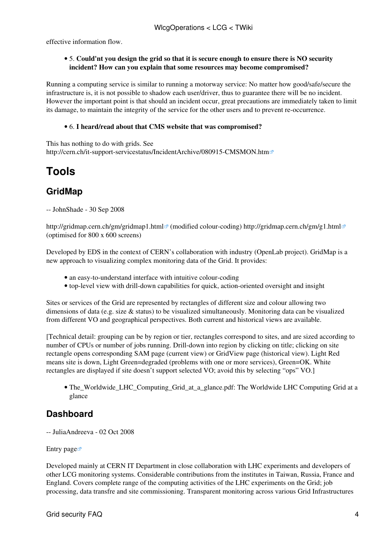effective information flow.

#### 5. **Could'nt you design the grid so that it is secure enough to ensure there is NO security** • **incident? How can you explain that some resources may become compromised?**

Running a computing service is similar to running a motorway service: No matter how good/safe/secure the infrastructure is, it is not possible to shadow each user/driver, thus to guarantee there will be no incident. However the important point is that should an incident occur, great precautions are immediately taken to limit its damage, to maintain the integrity of the service for the other users and to prevent re-occurrence.

#### • 6. **I heard/read about that CMS website that was compromised?**

This has nothing to do with grids. See <http://cern.ch/it-support-servicestatus/IncidentArchive/080915-CMSMON.htm>

# **Tools**

### **GridMap**

-- [JohnShade](https://twiki.cern.ch/twiki/bin/view/Main/JohnShade) - 30 Sep 2008

<http://gridmap.cern.ch/gm/gridmap1.html> (modified colour-coding)<http://gridmap.cern.ch/gm/g1.html> ( $\sigma$ ) (optimised for 800 x 600 screens)

Developed by EDS in the context of CERN's collaboration with industry (OpenLab project). GridMap is a new approach to visualizing complex monitoring data of the Grid. It provides:

- an easy-to-understand interface with intuitive colour-coding
- top-level view with drill-down capabilities for quick, action-oriented oversight and insight

Sites or services of the Grid are represented by rectangles of different size and colour allowing two dimensions of data (e.g. size  $\&$  status) to be visualized simultaneously. Monitoring data can be visualized from different VO and geographical perspectives. Both current and historical views are available.

[Technical detail: grouping can be by region or tier, rectangles correspond to sites, and are sized according to number of CPUs or number of jobs running. Drill-down into region by clicking on title; clicking on site rectangle opens corresponding SAM page (current view) or [GridView](https://twiki.cern.ch/twiki/bin/view/LCG/GridView) page (historical view). Light Red means site is down, Light Green=degraded (problems with one or more services), Green=OK. White rectangles are displayed if site doesn't support selected VO; avoid this by selecting "ops" VO.]

• [The\\_Worldwide\\_LHC\\_Computing\\_Grid\\_at\\_a\\_glance.pdf:](https://twiki.cern.ch/twiki/pub/LCG/WlcgOperations/The_Worldwide_LHC_Computing_Grid_at_a_glance.pdf) The Worldwide LHC Computing Grid at a glance

### **Dashboard**

-- [JuliaAndreeva](https://twiki.cern.ch/twiki/bin/view/Main/JuliaAndreeva) - 02 Oct 2008

[Entry page](http://dashboard.cern.ch)

Developed mainly at CERN IT Department in close collaboration with LHC experiments and developers of other LCG monitoring systems. Considerable contributions from the institutes in Taiwan, Russia, France and England. Covers complete range of the computing activities of the LHC experiments on the Grid; job processing, data transfre and site commissioning. Transparent monitoring across various Grid Infrastructures